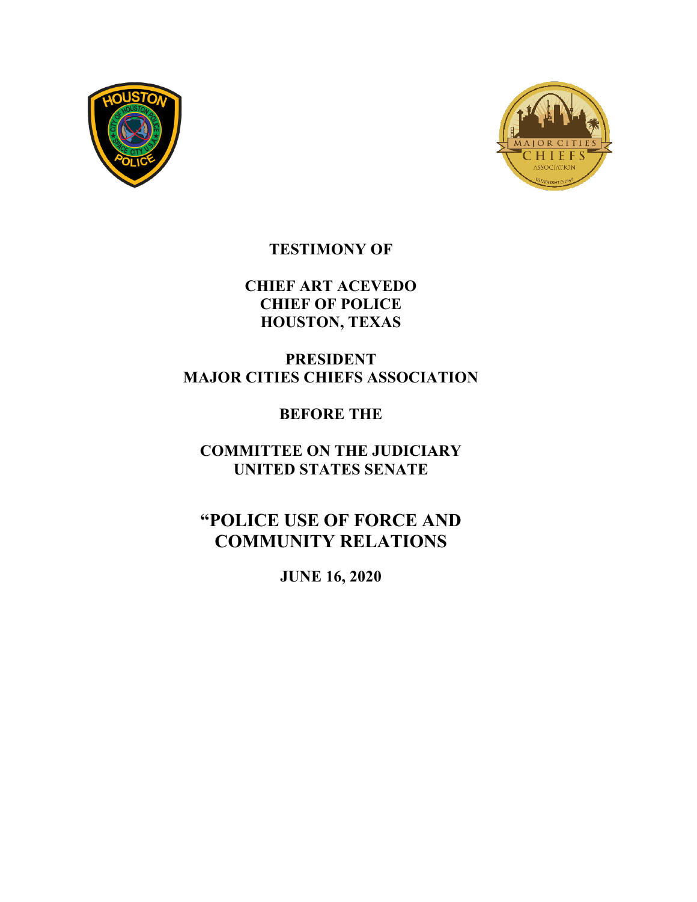



# **TESTIMONY OF**

# **CHIEF ART ACEVEDO CHIEF OF POLICE HOUSTON, TEXAS**

# **PRESIDENT MAJOR CITIES CHIEFS ASSOCIATION**

# **BEFORE THE**

# **COMMITTEE ON THE JUDICIARY UNITED STATES SENATE**

# **"POLICE USE OF FORCE AND COMMUNITY RELATIONS**

**JUNE 16, 2020**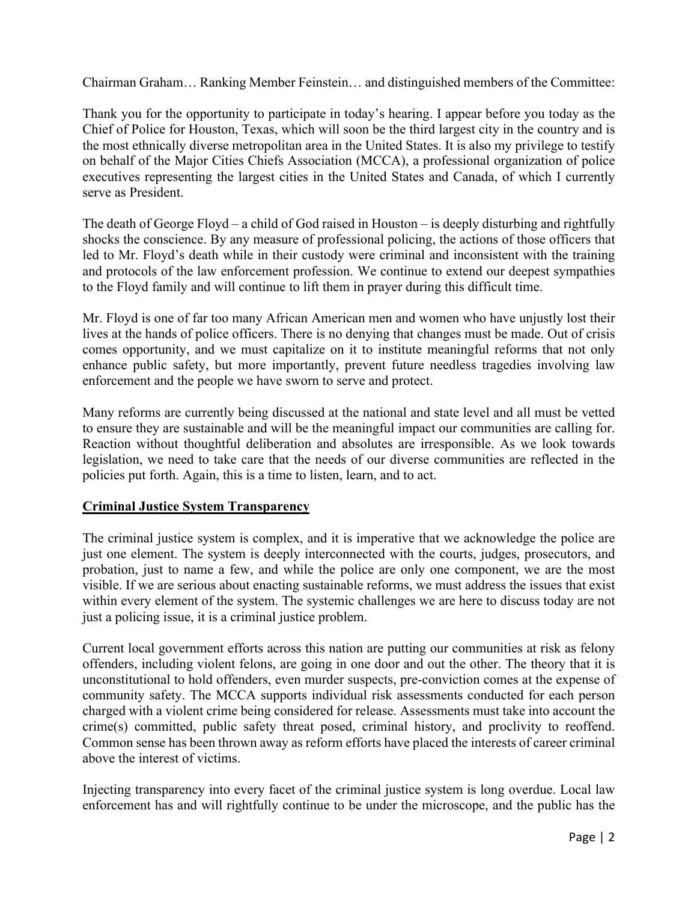Chairman Graham… Ranking Member Feinstein… and distinguished members of the Committee:

Thank you for the opportunity to participate in today's hearing. I appear before you today as the Chief of Police for Houston, Texas, which will soon be the third largest city in the country and is the most ethnically diverse metropolitan area in the United States. It is also my privilege to testify on behalf of the Major Cities Chiefs Association (MCCA), a professional organization of police executives representing the largest cities in the United States and Canada, of which I currently serve as President.

The death of George Floyd – a child of God raised in Houston – is deeply disturbing and rightfully shocks the conscience. By any measure of professional policing, the actions of those officers that led to Mr. Floyd's death while in their custody were criminal and inconsistent with the training and protocols of the law enforcement profession. We continue to extend our deepest sympathies to the Floyd family and will continue to lift them in prayer during this difficult time.

Mr. Floyd is one of far too many African American men and women who have unjustly lost their lives at the hands of police officers. There is no denying that changes must be made. Out of crisis comes opportunity, and we must capitalize on it to institute meaningful reforms that not only enhance public safety, but more importantly, prevent future needless tragedies involving law enforcement and the people we have sworn to serve and protect.

Many reforms are currently being discussed at the national and state level and all must be vetted to ensure they are sustainable and will be the meaningful impact our communities are calling for. Reaction without thoughtful deliberation and absolutes are irresponsible. As we look towards legislation, we need to take care that the needs of our diverse communities are reflected in the policies put forth. Again, this is a time to listen, learn, and to act.

#### **Criminal Justice System Transparency**

The criminal justice system is complex, and it is imperative that we acknowledge the police are just one element. The system is deeply interconnected with the courts, judges, prosecutors, and probation, just to name a few, and while the police are only one component, we are the most visible. If we are serious about enacting sustainable reforms, we must address the issues that exist within every element of the system. The systemic challenges we are here to discuss today are not just a policing issue, it is a criminal justice problem.

Current local government efforts across this nation are putting our communities at risk as felony offenders, including violent felons, are going in one door and out the other. The theory that it is unconstitutional to hold offenders, even murder suspects, pre-conviction comes at the expense of community safety. The MCCA supports individual risk assessments conducted for each person charged with a violent crime being considered for release. Assessments must take into account the crime(s) committed, public safety threat posed, criminal history, and proclivity to reoffend. Common sense has been thrown away as reform efforts have placed the interests of career criminal above the interest of victims.

Injecting transparency into every facet of the criminal justice system is long overdue. Local law enforcement has and will rightfully continue to be under the microscope, and the public has the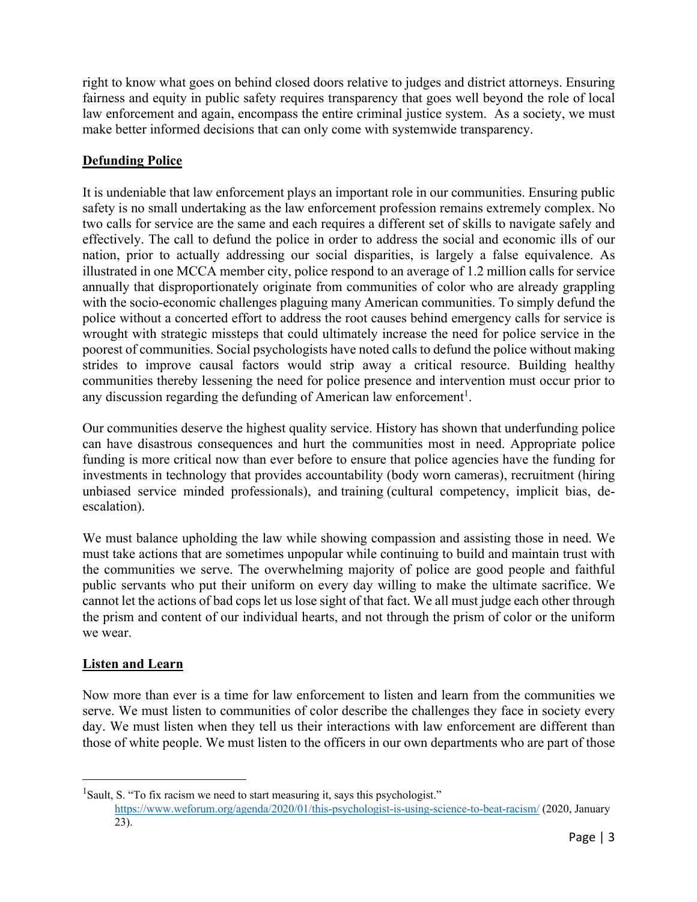right to know what goes on behind closed doors relative to judges and district attorneys. Ensuring fairness and equity in public safety requires transparency that goes well beyond the role of local law enforcement and again, encompass the entire criminal justice system. As a society, we must make better informed decisions that can only come with systemwide transparency.

## **Defunding Police**

It is undeniable that law enforcement plays an important role in our communities. Ensuring public safety is no small undertaking as the law enforcement profession remains extremely complex. No two calls for service are the same and each requires a different set of skills to navigate safely and effectively. The call to defund the police in order to address the social and economic ills of our nation, prior to actually addressing our social disparities, is largely a false equivalence. As illustrated in one MCCA member city, police respond to an average of 1.2 million calls for service annually that disproportionately originate from communities of color who are already grappling with the socio-economic challenges plaguing many American communities. To simply defund the police without a concerted effort to address the root causes behind emergency calls for service is wrought with strategic missteps that could ultimately increase the need for police service in the poorest of communities. Social psychologists have noted calls to defund the police without making strides to improve causal factors would strip away a critical resource. Building healthy communities thereby lessening the need for police presence and intervention must occur prior to any discussion regarding the defunding of American law enforcement<sup>1</sup>.

Our communities deserve the highest quality service. History has shown that underfunding police can have disastrous consequences and hurt the communities most in need. Appropriate police funding is more critical now than ever before to ensure that police agencies have the funding for investments in technology that provides accountability (body worn cameras), recruitment (hiring unbiased service minded professionals), and training (cultural competency, implicit bias, deescalation).

We must balance upholding the law while showing compassion and assisting those in need. We must take actions that are sometimes unpopular while continuing to build and maintain trust with the communities we serve. The overwhelming majority of police are good people and faithful public servants who put their uniform on every day willing to make the ultimate sacrifice. We cannot let the actions of bad cops let us lose sight of that fact. We all must judge each other through the prism and content of our individual hearts, and not through the prism of color or the uniform we wear.

## **Listen and Learn**

Now more than ever is a time for law enforcement to listen and learn from the communities we serve. We must listen to communities of color describe the challenges they face in society every day. We must listen when they tell us their interactions with law enforcement are different than those of white people. We must listen to the officers in our own departments who are part of those

<sup>&</sup>lt;sup>1</sup>Sault, S. "To fix racism we need to start measuring it, says this psychologist." https://www.weforum.org/agenda/2020/01/this-psychologist-is-using-science-to-beat-racism/ (2020, January 23).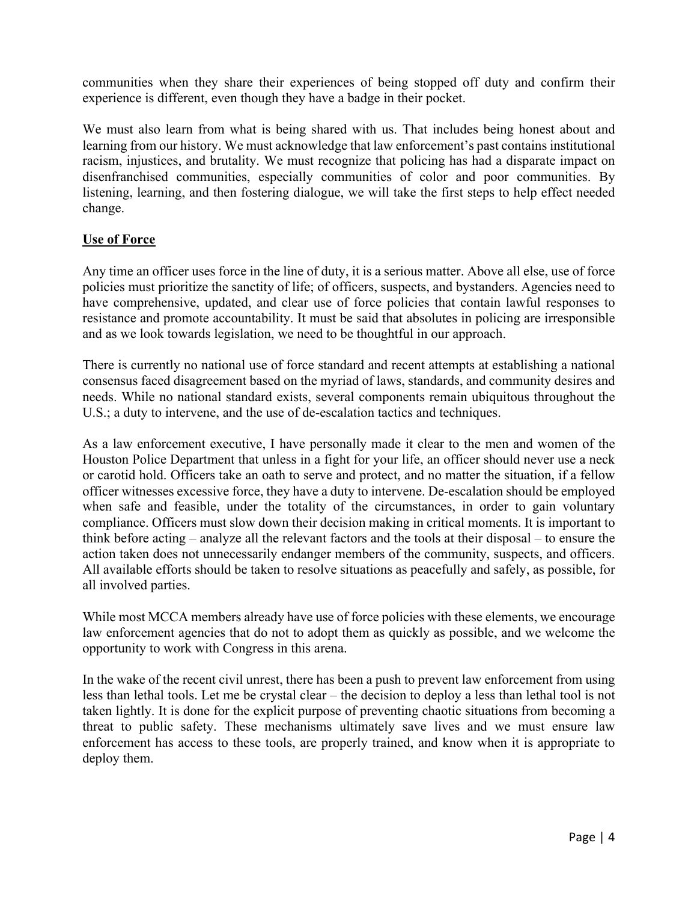communities when they share their experiences of being stopped off duty and confirm their experience is different, even though they have a badge in their pocket.

We must also learn from what is being shared with us. That includes being honest about and learning from our history. We must acknowledge that law enforcement's past contains institutional racism, injustices, and brutality. We must recognize that policing has had a disparate impact on disenfranchised communities, especially communities of color and poor communities. By listening, learning, and then fostering dialogue, we will take the first steps to help effect needed change.

## **Use of Force**

Any time an officer uses force in the line of duty, it is a serious matter. Above all else, use of force policies must prioritize the sanctity of life; of officers, suspects, and bystanders. Agencies need to have comprehensive, updated, and clear use of force policies that contain lawful responses to resistance and promote accountability. It must be said that absolutes in policing are irresponsible and as we look towards legislation, we need to be thoughtful in our approach.

There is currently no national use of force standard and recent attempts at establishing a national consensus faced disagreement based on the myriad of laws, standards, and community desires and needs. While no national standard exists, several components remain ubiquitous throughout the U.S.; a duty to intervene, and the use of de-escalation tactics and techniques.

As a law enforcement executive, I have personally made it clear to the men and women of the Houston Police Department that unless in a fight for your life, an officer should never use a neck or carotid hold. Officers take an oath to serve and protect, and no matter the situation, if a fellow officer witnesses excessive force, they have a duty to intervene. De-escalation should be employed when safe and feasible, under the totality of the circumstances, in order to gain voluntary compliance. Officers must slow down their decision making in critical moments. It is important to think before acting – analyze all the relevant factors and the tools at their disposal – to ensure the action taken does not unnecessarily endanger members of the community, suspects, and officers. All available efforts should be taken to resolve situations as peacefully and safely, as possible, for all involved parties.

While most MCCA members already have use of force policies with these elements, we encourage law enforcement agencies that do not to adopt them as quickly as possible, and we welcome the opportunity to work with Congress in this arena.

In the wake of the recent civil unrest, there has been a push to prevent law enforcement from using less than lethal tools. Let me be crystal clear – the decision to deploy a less than lethal tool is not taken lightly. It is done for the explicit purpose of preventing chaotic situations from becoming a threat to public safety. These mechanisms ultimately save lives and we must ensure law enforcement has access to these tools, are properly trained, and know when it is appropriate to deploy them.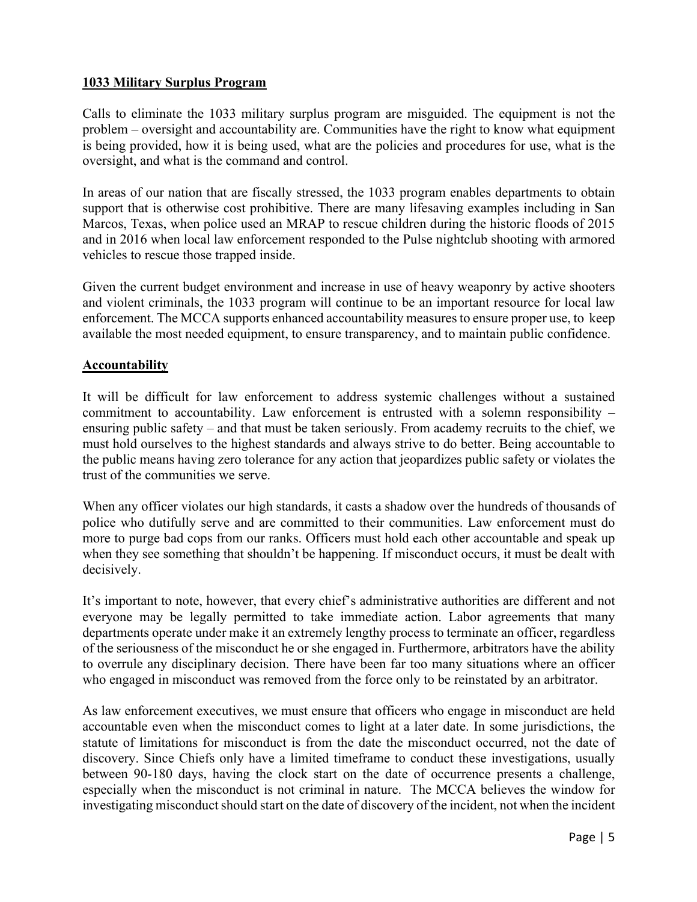#### **1033 Military Surplus Program**

Calls to eliminate the 1033 military surplus program are misguided. The equipment is not the problem – oversight and accountability are. Communities have the right to know what equipment is being provided, how it is being used, what are the policies and procedures for use, what is the oversight, and what is the command and control.

In areas of our nation that are fiscally stressed, the 1033 program enables departments to obtain support that is otherwise cost prohibitive. There are many lifesaving examples including in San Marcos, Texas, when police used an MRAP to rescue children during the historic floods of 2015 and in 2016 when local law enforcement responded to the Pulse nightclub shooting with armored vehicles to rescue those trapped inside.

Given the current budget environment and increase in use of heavy weaponry by active shooters and violent criminals, the 1033 program will continue to be an important resource for local law enforcement. The MCCA supports enhanced accountability measures to ensure proper use, to keep available the most needed equipment, to ensure transparency, and to maintain public confidence.

## **Accountability**

It will be difficult for law enforcement to address systemic challenges without a sustained commitment to accountability. Law enforcement is entrusted with a solemn responsibility – ensuring public safety – and that must be taken seriously. From academy recruits to the chief, we must hold ourselves to the highest standards and always strive to do better. Being accountable to the public means having zero tolerance for any action that jeopardizes public safety or violates the trust of the communities we serve.

When any officer violates our high standards, it casts a shadow over the hundreds of thousands of police who dutifully serve and are committed to their communities. Law enforcement must do more to purge bad cops from our ranks. Officers must hold each other accountable and speak up when they see something that shouldn't be happening. If misconduct occurs, it must be dealt with decisively.

It's important to note, however, that every chief's administrative authorities are different and not everyone may be legally permitted to take immediate action. Labor agreements that many departments operate under make it an extremely lengthy process to terminate an officer, regardless of the seriousness of the misconduct he or she engaged in. Furthermore, arbitrators have the ability to overrule any disciplinary decision. There have been far too many situations where an officer who engaged in misconduct was removed from the force only to be reinstated by an arbitrator.

As law enforcement executives, we must ensure that officers who engage in misconduct are held accountable even when the misconduct comes to light at a later date. In some jurisdictions, the statute of limitations for misconduct is from the date the misconduct occurred, not the date of discovery. Since Chiefs only have a limited timeframe to conduct these investigations, usually between 90-180 days, having the clock start on the date of occurrence presents a challenge, especially when the misconduct is not criminal in nature. The MCCA believes the window for investigating misconduct should start on the date of discovery of the incident, not when the incident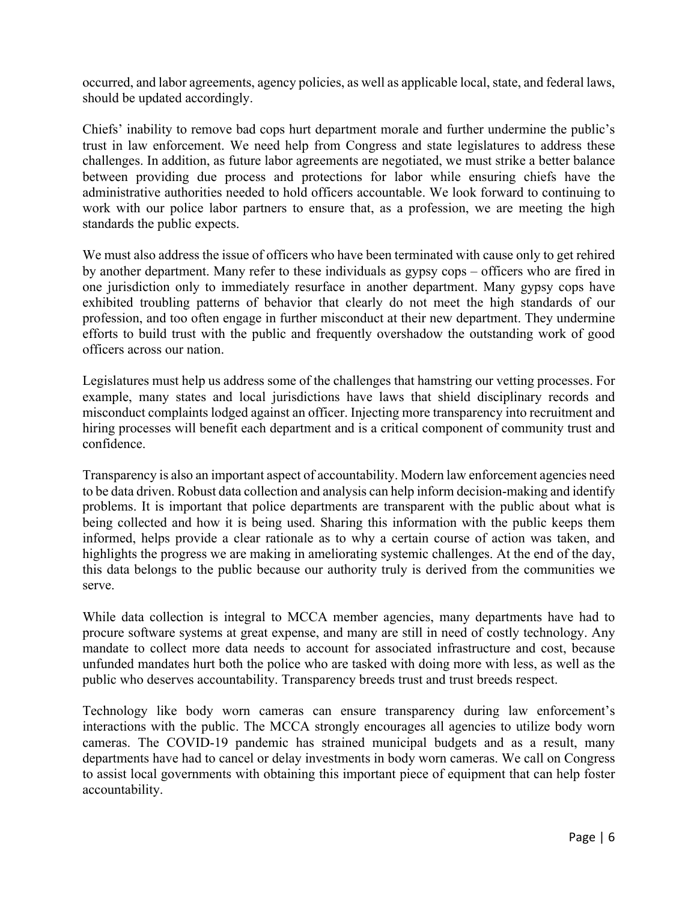occurred, and labor agreements, agency policies, as well as applicable local, state, and federal laws, should be updated accordingly.

Chiefs' inability to remove bad cops hurt department morale and further undermine the public's trust in law enforcement. We need help from Congress and state legislatures to address these challenges. In addition, as future labor agreements are negotiated, we must strike a better balance between providing due process and protections for labor while ensuring chiefs have the administrative authorities needed to hold officers accountable. We look forward to continuing to work with our police labor partners to ensure that, as a profession, we are meeting the high standards the public expects.

We must also address the issue of officers who have been terminated with cause only to get rehired by another department. Many refer to these individuals as gypsy cops – officers who are fired in one jurisdiction only to immediately resurface in another department. Many gypsy cops have exhibited troubling patterns of behavior that clearly do not meet the high standards of our profession, and too often engage in further misconduct at their new department. They undermine efforts to build trust with the public and frequently overshadow the outstanding work of good officers across our nation.

Legislatures must help us address some of the challenges that hamstring our vetting processes. For example, many states and local jurisdictions have laws that shield disciplinary records and misconduct complaints lodged against an officer. Injecting more transparency into recruitment and hiring processes will benefit each department and is a critical component of community trust and confidence.

Transparency is also an important aspect of accountability. Modern law enforcement agencies need to be data driven. Robust data collection and analysis can help inform decision-making and identify problems. It is important that police departments are transparent with the public about what is being collected and how it is being used. Sharing this information with the public keeps them informed, helps provide a clear rationale as to why a certain course of action was taken, and highlights the progress we are making in ameliorating systemic challenges. At the end of the day, this data belongs to the public because our authority truly is derived from the communities we serve.

While data collection is integral to MCCA member agencies, many departments have had to procure software systems at great expense, and many are still in need of costly technology. Any mandate to collect more data needs to account for associated infrastructure and cost, because unfunded mandates hurt both the police who are tasked with doing more with less, as well as the public who deserves accountability. Transparency breeds trust and trust breeds respect.

Technology like body worn cameras can ensure transparency during law enforcement's interactions with the public. The MCCA strongly encourages all agencies to utilize body worn cameras. The COVID-19 pandemic has strained municipal budgets and as a result, many departments have had to cancel or delay investments in body worn cameras. We call on Congress to assist local governments with obtaining this important piece of equipment that can help foster accountability.